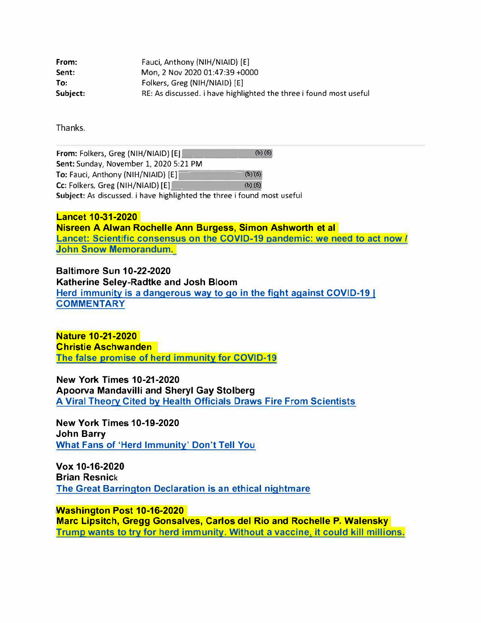| From:    | Fauci, Anthony (NIH/NIAID) [E]                                     |
|----------|--------------------------------------------------------------------|
| Sent:    | Mon, 2 Nov 2020 01:47:39 +0000                                     |
| To:      | Folkers, Greg (NIH/NIAID) [E]                                      |
| Subject: | RE: As discussed. i have highlighted the three i found most useful |

Thanks.

**From:** Folkers, Greg (NIH/NIAID) [E] (b)(6) Sent: Sunday, November 1, 2020 5:21 PM To: Fauci, Anthony (NIH/NIAID) [E]  $(b)'(6)$  $CC:$  Folkers, Greg (NIH/NIAID)  $[E]$  (b)(6) Subject: As discussed. i have highlighted the three i found most useful

**Lancet 10-31-2020 Nisreen A Alwan Rochelle Ann Burgess, Simon Ashworth et al Lancet: Scientific consensus on the COVID-19 andemic: we need to act now** *I* **John Snow Memorandum.** 

**Baltimore Sun 10-22-2020 Katherine Seley-Radtke and Josh Bloom Herd immunity is a dangerous way to go in the fight against COVID-19** I **COMMENTARY** 

**Nature 10-21-2020 Christie Aschwanden The false promise of herd immunity for COVID-19** 

**New York Times 10-21-2020 Apoorva Mandavilli and Sheryl Gay Stolberg A Viral Theory Cited by Health Officials Draws Fire From Scientists** 

**New York Times 10-19-2020 John Barry What Fans of 'Herd Immunity' Don't Tell You** 

**Vox 10-16-2020 Brian Resnick The Great Barrington Declaration is an ethical nightmare** 

**Washington Post 10-16-2020 Marc Lipsitch, Gregg Gonsalves, Carlos del Rio and Rochelle P. Walensky Trump wants to try for herd immunity. Without a vaccine, it could kill millions.**